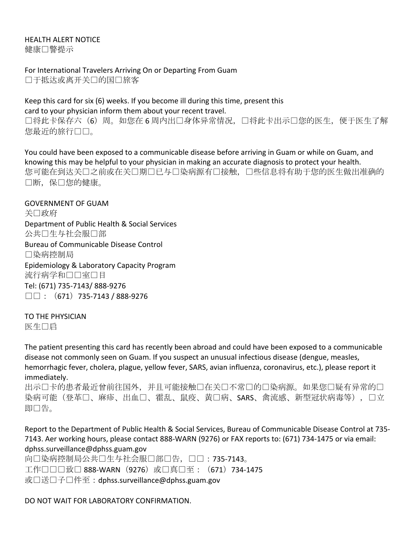## HEALTH ALFRT NOTICF 健康□警提示

For International Travelers Arriving On or Departing From Guam 口于抵达或离开关口的国口旅客

Keep this card for six (6) weeks. If you become ill during this time, present this card to your physician inform them about your recent travel. 口将此卡保存六(6)周。如您在 6 周内出口身体异常情况, 口将此卡出示口您的医生, 便于医生了解 您最近的旅行口口。

You could have been exposed to a communicable disease before arriving in Guam or while on Guam, and knowing this may be helpful to your physician in making an accurate diagnosis to protect your health. 您可能在到达关口之前或在关口期口已与口染病源有口接触,口些信息将有助于您的医生做出准确的 □断, 保□您的健康。

**GOVERNMENT OF GUAM** 关□政府 Department of Public Health & Social Services 公共口生与社会服口部 Bureau of Communicable Disease Control 染病控制局 Epidemiology & Laboratory Capacity Program 流行病学和口口室口目 Tel: (671) 735-7143/ 888-9276  $\square \square$ : (671) 735-7143 / 888-9276

TO THE PHYSICIAN 医生口启

The patient presenting this card has recently been abroad and could have been exposed to a communicable disease not commonly seen on Guam. If you suspect an unusual infectious disease (dengue, measles, hemorrhagic fever, cholera, plague, yellow fever, SARS, avian influenza, coronavirus, etc.), please report it immediately.

出示口卡的患者最近曾前往国外,并且可能接触口在关口不常口的口染病源。如果您口疑有异常的口 染病可能(登革口、麻疹、出血口、霍乱、鼠疫、黄口病、SARS、禽流感、新型冠状病毒等),口立 即告。

Report to the Department of Public Health & Social Services, Bureau of Communicable Disease Control at 735-7143. Aer working hours, please contact 888-WARN (9276) or FAX reports to: (671) 734-1475 or via email: dphss.surveillance@dphss.guam.gov

向口染病控制局公共口生与社会服口部口告,口口:735-7143。 工作□□□致□ 888-WARN (9276) 或□真□至: (671) 734-1475 或口送口子口件至: dphss.surveillance@dphss.guam.gov

DO NOT WAIT FOR LABORATORY CONFIRMATION.